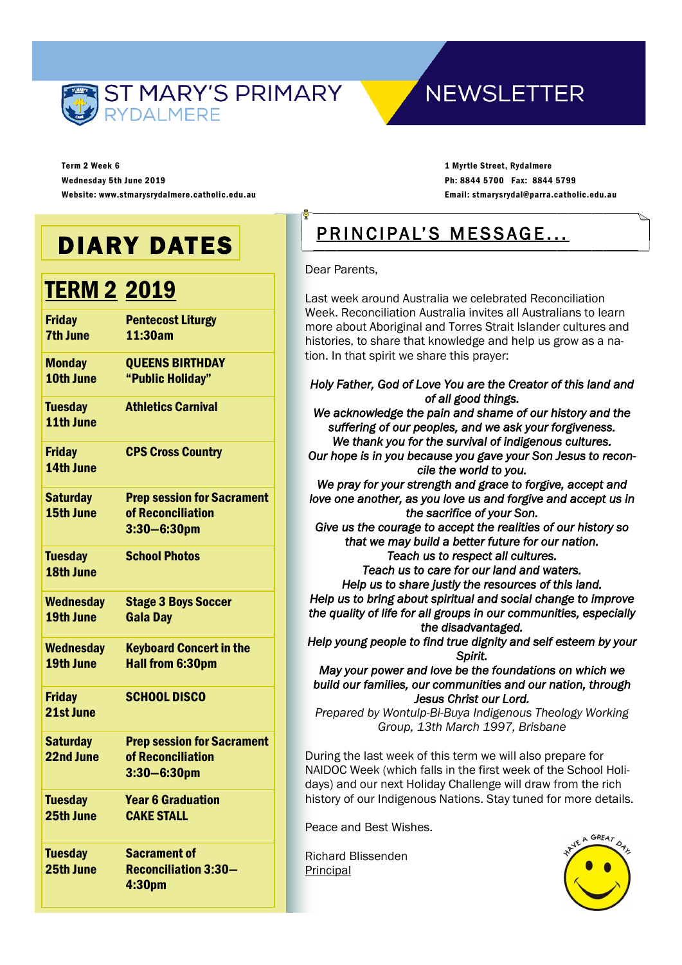

# **NEWSLETTER**

Term 2 Week 6 Wednesday 5th June 2019 Website: www.stmarysrydalmere.catholic.edu.au

1 Myrtle Street, Rydalmere Ph: 8844 5700 Fax: 8844 5799 Email: stmarysrydal@parra.catholic.edu.au

# DIARY DATES

# **TERM 2 2019**

| <b>Friday</b>                | <b>Pentecost Liturgy</b>                               |
|------------------------------|--------------------------------------------------------|
| <b>7th June</b>              | 11:30am                                                |
| <b>Monday</b>                | <b>QUEENS BIRTHDAY</b>                                 |
| 10th June                    | "Public Holiday"                                       |
| <b>Tuesday</b><br>11th June  | <b>Athletics Carnival</b>                              |
|                              |                                                        |
| <b>Friday</b><br>14th June   | <b>CPS Cross Country</b>                               |
|                              |                                                        |
| <b>Saturday</b><br>15th June | <b>Prep session for Sacrament</b><br>of Reconciliation |
|                              | $3:30 - 6:30$ pm                                       |
|                              |                                                        |
| <b>Tuesday</b>               | <b>School Photos</b>                                   |
| 18th June                    |                                                        |
| <b>Wednesday</b>             | <b>Stage 3 Boys Soccer</b>                             |
| 19th June                    | <b>Gala Day</b>                                        |
| <b>Wednesday</b>             | <b>Keyboard Concert in the</b>                         |
| 19th June                    | <b>Hall from 6:30pm</b>                                |
| <b>Friday</b>                | <b>SCHOOL DISCO</b>                                    |
| 21st June                    |                                                        |
| <b>Saturday</b>              | <b>Prep session for Sacrament</b>                      |
| 22nd June                    | of Reconciliation                                      |
|                              | $3:30 - 6:30$ pm                                       |
| <b>Tuesday</b>               | <b>Year 6 Graduation</b>                               |
| 25th June                    | <b>CAKE STALL</b>                                      |
| <b>Tuesday</b>               | <b>Sacrament of</b>                                    |
| 25th June                    | <b>Reconciliation 3:30-</b>                            |
|                              | 4:30pm                                                 |

# PRINCIPAL'S MESSAGE...

Dear Parents,

Last week around Australia we celebrated Reconciliation Week. Reconciliation Australia invites all Australians to learn more about Aboriginal and Torres Strait Islander cultures and histories, to share that knowledge and help us grow as a nation. In that spirit we share this prayer:

#### *Holy Father, God of Love You are the Creator of this land and of all good things.*

*We acknowledge the pain and shame of our history and the suffering of our peoples, and we ask your forgiveness. We thank you for the survival of indigenous cultures.* 

*Our hope is in you because you gave your Son Jesus to reconcile the world to you.* 

*We pray for your strength and grace to forgive, accept and love one another, as you love us and forgive and accept us in the sacrifice of your Son.* 

*Give us the courage to accept the realities of our history so that we may build a better future for our nation. Teach us to respect all cultures.* 

*Teach us to care for our land and waters. Help us to share justly the resources of this land. Help us to bring about spiritual and social change to improve the quality of life for all groups in our communities, especially the disadvantaged.* 

*Help young people to find true dignity and self esteem by your Spirit.* 

*May your power and love be the foundations on which we build our families, our communities and our nation, through Jesus Christ our Lord.* 

*Prepared by Wontulp-Bi-Buya Indigenous Theology Working Group, 13th March 1997, Brisbane*

During the last week of this term we will also prepare for NAIDOC Week (which falls in the first week of the School Holidays) and our next Holiday Challenge will draw from the rich history of our Indigenous Nations. Stay tuned for more details.

Peace and Best Wishes.

Richard Blissenden **Principal** 

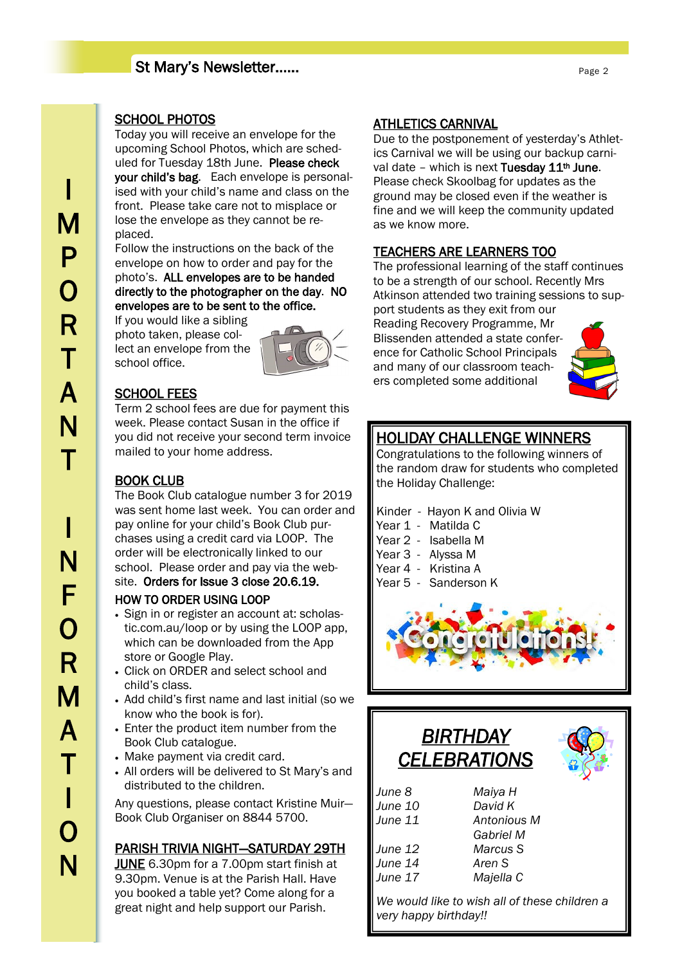# St Mary's Newsletter……

### SCHOOL PHOTOS

Today you will receive an envelope for the upcoming School Photos, which are scheduled for Tuesday 18th June. Please check your child's bag. Each envelope is personalised with your child's name and class on the front. Please take care not to misplace or lose the envelope as they cannot be replaced.

Follow the instructions on the back of the envelope on how to order and pay for the photo's. ALL envelopes are to be handed directly to the photographer on the day. NO envelopes are to be sent to the office.

If you would like a sibling photo taken, please collect an envelope from the school office.



## SCHOOL FEES

Term 2 school fees are due for payment this week. Please contact Susan in the office if you did not receive your second term invoice mailed to your home address.

## BOOK CLUB

The Book Club catalogue number 3 for 2019 was sent home last week. You can order and pay online for your child's Book Club purchases using a credit card via LOOP. The order will be electronically linked to our school. Please order and pay via the website. Orders for Issue 3 close 20.6.19.

#### HOW TO ORDER USING LOOP

- Sign in or register an account at: scholastic.com.au/loop or by using the LOOP app, which can be downloaded from the App store or Google Play.
- Click on ORDER and select school and child's class.
- Add child's first name and last initial (so we know who the book is for).
- Enter the product item number from the Book Club catalogue.
- Make payment via credit card.
- All orders will be delivered to St Mary's and distributed to the children.

Any questions, please contact Kristine Muir— Book Club Organiser on 8844 5700.

## PARISH TRIVIA NIGHT—SATURDAY 29TH

JUNE 6.30pm for a 7.00pm start finish at 9.30pm. Venue is at the Parish Hall. Have you booked a table yet? Come along for a great night and help support our Parish.

## ATHLETICS CARNIVAL

Due to the postponement of yesterday's Athletics Carnival we will be using our backup carnival date – which is next Tuesday  $11<sup>th</sup>$  June. Please check Skoolbag for updates as the ground may be closed even if the weather is fine and we will keep the community updated as we know more.

## TEACHERS ARE LEARNERS TOO

The professional learning of the staff continues to be a strength of our school. Recently Mrs Atkinson attended two training sessions to support students as they exit from our Reading Recovery Programme, Mr Blissenden attended a state conference for Catholic School Principals and many of our classroom teachers completed some additional



# HOLIDAY CHALLENGE WINNERS

Congratulations to the following winners of the random draw for students who completed the Holiday Challenge:

- Kinder Hayon K and Olivia W
- Year 1 Matilda C
- Year 2 Isabella M
- Year 3 Alyssa M
- Year 4 Kristina A
- Year 5 Sanderson K



| <i><b>BIRTHDAY</b></i><br><b>CELEBRATIONS</b> |                  |            |
|-----------------------------------------------|------------------|------------|
| June 8                                        | Maiya H          |            |
| <b>June 10</b>                                | David K          |            |
| June 11                                       | Antonious M      |            |
|                                               | <b>Gabriel M</b> |            |
| June 12                                       | Marcus S         |            |
| June 14                                       | Aren S           |            |
| June 17                                       | Majella C        |            |
| الخارجية المارية والمرورين والمستندرة         | بالتكسير السابر  | <u>LHL</u> |

*We would like to wish all of these children a very happy birthday!!*

I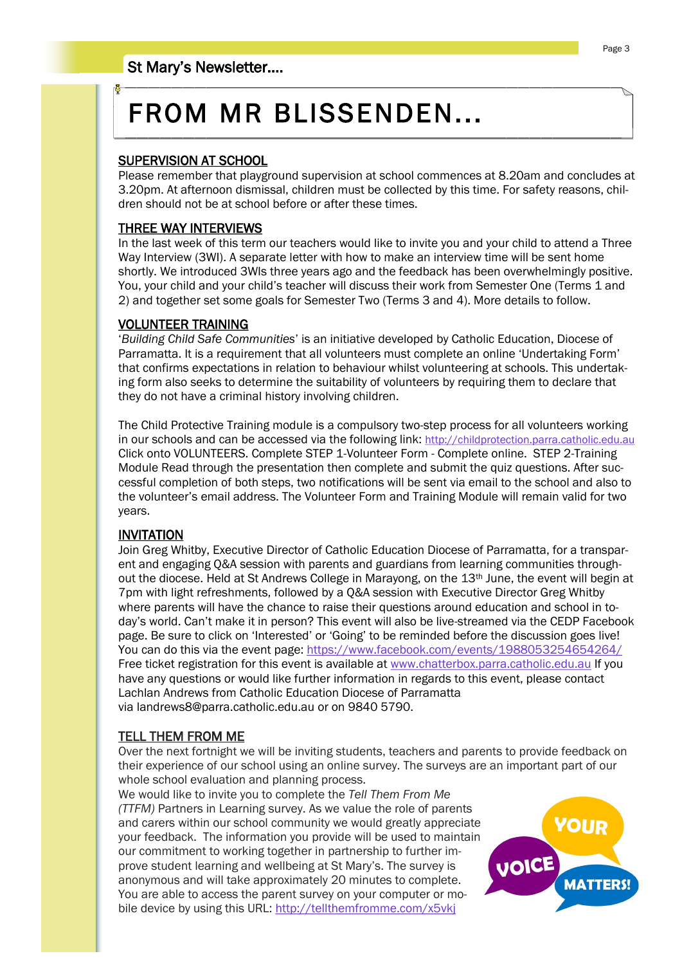# FROM MR BLISSENDEN...

#### SUPERVISION AT SCHOOL

Please remember that playground supervision at school commences at 8.20am and concludes at 3.20pm. At afternoon dismissal, children must be collected by this time. For safety reasons, children should not be at school before or after these times.

#### THREE WAY INTERVIEWS

In the last week of this term our teachers would like to invite you and your child to attend a Three Way Interview (3WI). A separate letter with how to make an interview time will be sent home shortly. We introduced 3WIs three years ago and the feedback has been overwhelmingly positive. You, your child and your child's teacher will discuss their work from Semester One (Terms 1 and 2) and together set some goals for Semester Two (Terms 3 and 4). More details to follow.

#### VOLUNTEER TRAINING

'*Building Child Safe Communities*' is an initiative developed by Catholic Education, Diocese of Parramatta. It is a requirement that all volunteers must complete an online 'Undertaking Form' that confirms expectations in relation to behaviour whilst volunteering at schools. This undertaking form also seeks to determine the suitability of volunteers by requiring them to declare that they do not have a criminal history involving children.

The Child Protective Training module is a compulsory two-step process for all volunteers working in our schools and can be accessed via the following link: <http://childprotection.parra.catholic.edu.au> Click onto VOLUNTEERS. Complete STEP 1-Volunteer Form - Complete online. STEP 2-Training Module Read through the presentation then complete and submit the quiz questions. After successful completion of both steps, two notifications will be sent via email to the school and also to the volunteer's email address. The Volunteer Form and Training Module will remain valid for two years.

#### INVITATION

Join Greg Whitby, Executive Director of Catholic Education Diocese of Parramatta, for a transparent and engaging Q&A session with parents and guardians from learning communities throughout the diocese. Held at St Andrews College in Marayong, on the  $13<sup>th</sup>$  June, the event will begin at 7pm with light refreshments, followed by a Q&A session with Executive Director Greg Whitby where parents will have the chance to raise their questions around education and school in today's world. Can't make it in person? This event will also be live-streamed via the CEDP Facebook page. Be sure to click on 'Interested' or 'Going' to be reminded before the discussion goes live! You can do this via the event page: <https://www.facebook.com/events/1988053254654264/> Free ticket registration for this event is available at [www.chatterbox.parra.catholic.edu.au](http://www.chatterbox.parra.catholic.edu.au) If you have any questions or would like further information in regards to this event, please contact Lachlan Andrews from Catholic Education Diocese of Parramatta via landrews8@parra.catholic.edu.au or on 9840 5790.

#### TELL THEM FROM ME

Over the next fortnight we will be inviting students, teachers and parents to provide feedback on their experience of our school using an online survey. The surveys are an important part of our whole school evaluation and planning process.

We would like to invite you to complete the *Tell Them From Me (TTFM)* Partners in Learning survey. As we value the role of parents and carers within our school community we would greatly appreciate your feedback. The information you provide will be used to maintain our commitment to working together in partnership to further improve student learning and wellbeing at St Mary's. The survey is anonymous and will take approximately 20 minutes to complete. You are able to access the parent survey on your computer or mobile device by using this URL: <http://tellthemfromme.com/x5vkj>